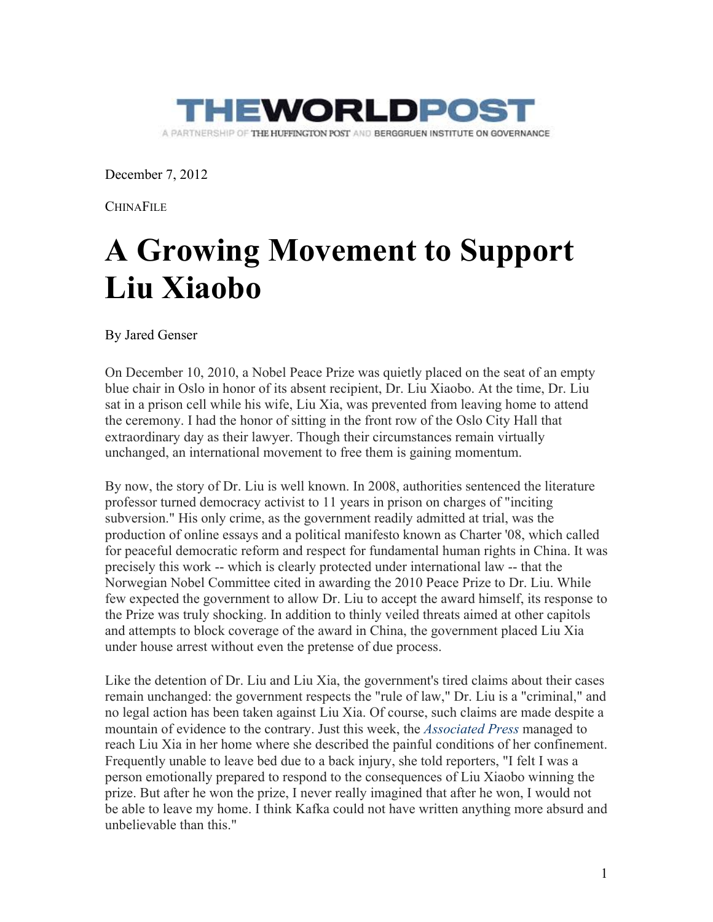

December 7, 2012

**CHINAFILE** 

## **A Growing Movement to Support Liu Xiaobo**

By Jared Genser

On December 10, 2010, a Nobel Peace Prize was quietly placed on the seat of an empty blue chair in Oslo in honor of its absent recipient, Dr. Liu Xiaobo. At the time, Dr. Liu sat in a prison cell while his wife, Liu Xia, was prevented from leaving home to attend the ceremony. I had the honor of sitting in the front row of the Oslo City Hall that extraordinary day as their lawyer. Though their circumstances remain virtually unchanged, an international movement to free them is gaining momentum.

By now, the story of Dr. Liu is well known. In 2008, authorities sentenced the literature professor turned democracy activist to 11 years in prison on charges of "inciting subversion." His only crime, as the government readily admitted at trial, was the production of online essays and a political manifesto known as Charter '08, which called for peaceful democratic reform and respect for fundamental human rights in China. It was precisely this work -- which is clearly protected under international law -- that the Norwegian Nobel Committee cited in awarding the 2010 Peace Prize to Dr. Liu. While few expected the government to allow Dr. Liu to accept the award himself, its response to the Prize was truly shocking. In addition to thinly veiled threats aimed at other capitols and attempts to block coverage of the award in China, the government placed Liu Xia under house arrest without even the pretense of due process.

Like the detention of Dr. Liu and Liu Xia, the government's tired claims about their cases remain unchanged: the government respects the "rule of law," Dr. Liu is a "criminal," and no legal action has been taken against Liu Xia. Of course, such claims are made despite a mountain of evidence to the contrary. Just this week, the *Associated Press* managed to reach Liu Xia in her home where she described the painful conditions of her confinement. Frequently unable to leave bed due to a back injury, she told reporters, "I felt I was a person emotionally prepared to respond to the consequences of Liu Xiaobo winning the prize. But after he won the prize, I never really imagined that after he won, I would not be able to leave my home. I think Kafka could not have written anything more absurd and unbelievable than this."